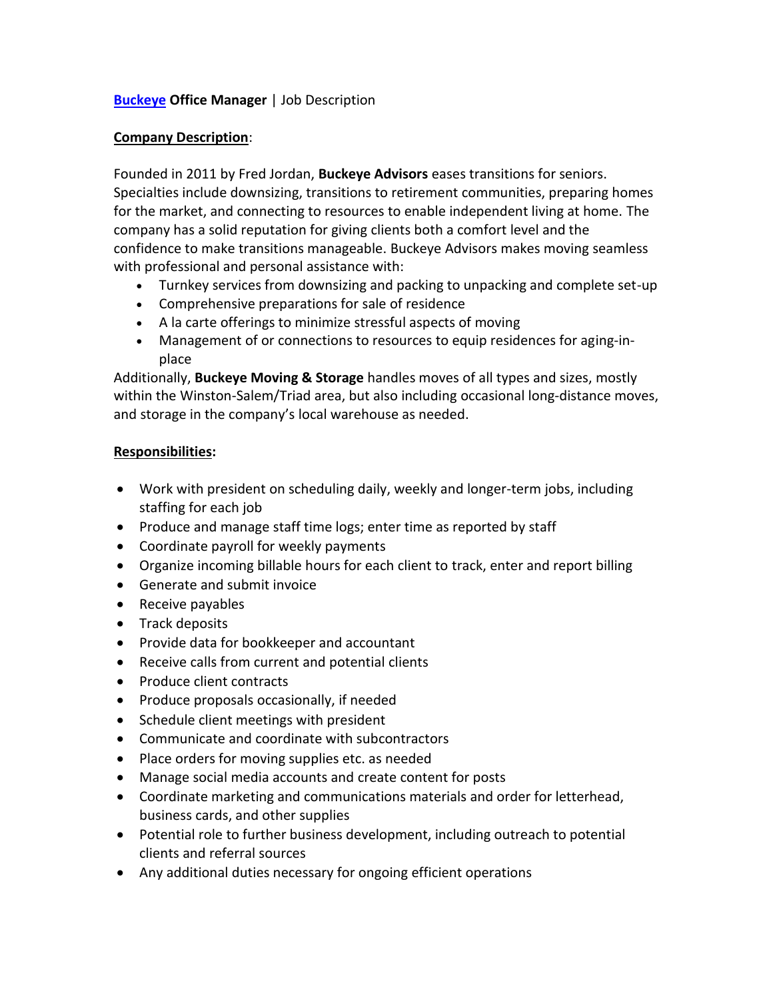# **[Buckeye](https://www.buckeyeadvisors.net/) Office Manager** | Job Description

### **Company Description**:

Founded in 2011 by Fred Jordan, **Buckeye Advisors** eases transitions for seniors. Specialties include downsizing, transitions to retirement communities, preparing homes for the market, and connecting to resources to enable independent living at home. The company has a solid reputation for giving clients both a comfort level and the confidence to make transitions manageable. Buckeye Advisors makes moving seamless with professional and personal assistance with:

- Turnkey services from downsizing and packing to unpacking and complete set-up
- Comprehensive preparations for sale of residence
- A la carte offerings to minimize stressful aspects of moving
- Management of or connections to resources to equip residences for aging-inplace

Additionally, **Buckeye Moving & Storage** handles moves of all types and sizes, mostly within the Winston-Salem/Triad area, but also including occasional long-distance moves, and storage in the company's local warehouse as needed.

## **Responsibilities:**

- Work with president on scheduling daily, weekly and longer-term jobs, including staffing for each job
- Produce and manage staff time logs; enter time as reported by staff
- Coordinate payroll for weekly payments
- Organize incoming billable hours for each client to track, enter and report billing
- Generate and submit invoice
- Receive payables
- Track deposits
- Provide data for bookkeeper and accountant
- Receive calls from current and potential clients
- Produce client contracts
- Produce proposals occasionally, if needed
- Schedule client meetings with president
- Communicate and coordinate with subcontractors
- Place orders for moving supplies etc. as needed
- Manage social media accounts and create content for posts
- Coordinate marketing and communications materials and order for letterhead, business cards, and other supplies
- Potential role to further business development, including outreach to potential clients and referral sources
- Any additional duties necessary for ongoing efficient operations